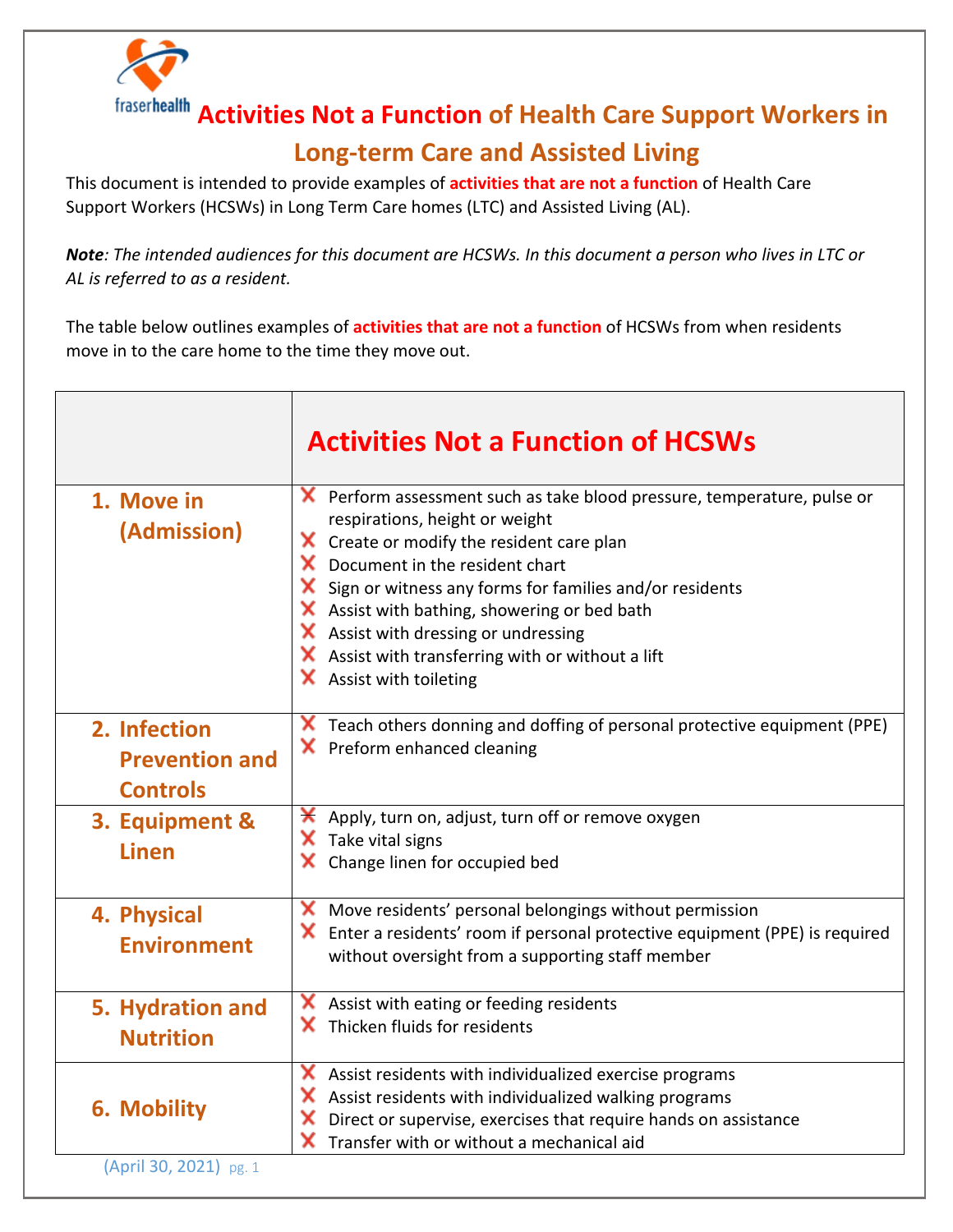

**Activities Not a Function of Health Care Support Workers in** 

## **Long-term Care and Assisted Living**

This document is intended to provide examples of **activities that are not a function** of Health Care Support Workers (HCSWs) in Long Term Care homes (LTC) and Assisted Living (AL).

*Note: The intended audiences for this document are HCSWs. In this document a person who lives in LTC or AL is referred to as a resident.* 

The table below outlines examples of **activities that are not a function** of HCSWs from when residents move in to the care home to the time they move out.

|                                                          | <b>Activities Not a Function of HCSWs</b>                                                                                                                                                                                                                                                                                                                                                                                                                                                |
|----------------------------------------------------------|------------------------------------------------------------------------------------------------------------------------------------------------------------------------------------------------------------------------------------------------------------------------------------------------------------------------------------------------------------------------------------------------------------------------------------------------------------------------------------------|
| 1. Move in<br>(Admission)                                | <b>X</b> Perform assessment such as take blood pressure, temperature, pulse or<br>respirations, height or weight<br>$\mathsf{\times}$ Create or modify the resident care plan<br>X Document in the resident chart<br>Sign or witness any forms for families and/or residents<br>X Assist with bathing, showering or bed bath<br>$\mathsf{\times}$ Assist with dressing or undressing<br>$\boldsymbol{\times}$ Assist with transferring with or without a lift<br>X Assist with toileting |
| 2. Infection<br><b>Prevention and</b><br><b>Controls</b> | Teach others donning and doffing of personal protective equipment (PPE)<br>x<br>X Preform enhanced cleaning                                                                                                                                                                                                                                                                                                                                                                              |
| 3. Equipment &<br><b>Linen</b>                           | ×<br>Apply, turn on, adjust, turn off or remove oxygen<br>X Take vital signs<br>Change linen for occupied bed                                                                                                                                                                                                                                                                                                                                                                            |
| 4. Physical<br><b>Environment</b>                        | Move residents' personal belongings without permission<br>$\blacktriangleright$ Enter a residents' room if personal protective equipment (PPE) is required<br>without oversight from a supporting staff member                                                                                                                                                                                                                                                                           |
| 5. Hydration and<br><b>Nutrition</b>                     | Assist with eating or feeding residents<br>x<br>$\mathsf{\times}$ Thicken fluids for residents                                                                                                                                                                                                                                                                                                                                                                                           |
| <b>6. Mobility</b>                                       | X Assist residents with individualized exercise programs<br>X Assist residents with individualized walking programs<br>×<br>Direct or supervise, exercises that require hands on assistance<br>×<br>Transfer with or without a mechanical aid                                                                                                                                                                                                                                            |
| (April 30, 2021) pg. 1                                   |                                                                                                                                                                                                                                                                                                                                                                                                                                                                                          |